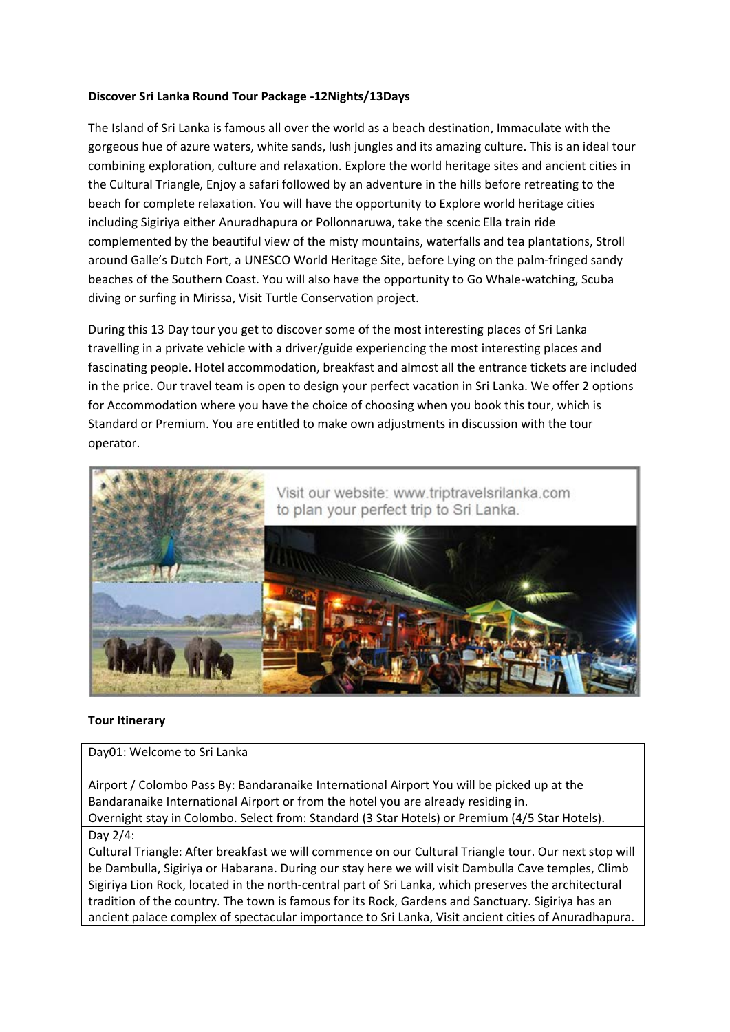# **Discover Sri Lanka Round Tour Package -12Nights/13Days**

The Island of Sri Lanka is famous all over the world as a beach destination, Immaculate with the gorgeous hue of azure waters, white sands, lush jungles and its amazing culture. This is an ideal tour combining exploration, culture and relaxation. Explore the world heritage sites and ancient cities in the Cultural Triangle, Enjoy a safari followed by an adventure in the hills before retreating to the beach for complete relaxation. You will have the opportunity to Explore world heritage cities including Sigiriya either Anuradhapura or Pollonnaruwa, take the scenic Ella train ride complemented by the beautiful view of the misty mountains, waterfalls and tea plantations, Stroll around Galle's Dutch Fort, a UNESCO World Heritage Site, before Lying on the palm-fringed sandy beaches of the Southern Coast. You will also have the opportunity to Go Whale-watching, Scuba diving or surfing in Mirissa, Visit Turtle Conservation project.

During this 13 Day tour you get to discover some of the most interesting places of Sri Lanka travelling in a private vehicle with a driver/guide experiencing the most interesting places and fascinating people. Hotel accommodation, breakfast and almost all the entrance tickets are included in the price. Our travel team is open to design your perfect vacation in Sri Lanka. We offer 2 options for Accommodation where you have the choice of choosing when you book this tour, which is Standard or Premium. You are entitled to make own adjustments in discussion with the tour operator.



## **Tour Itinerary**

### Day01: Welcome to Sri Lanka

Airport / Colombo Pass By: Bandaranaike International Airport You will be picked up at the Bandaranaike International Airport or from the hotel you are already residing in. Overnight stay in Colombo. Select from: Standard (3 Star Hotels) or Premium (4/5 Star Hotels).

#### Day 2/4:

Cultural Triangle: After breakfast we will commence on our Cultural Triangle tour. Our next stop will be Dambulla, Sigiriya or Habarana. During our stay here we will visit Dambulla Cave temples, Climb Sigiriya Lion Rock, located in the north-central part of Sri Lanka, which preserves the architectural tradition of the country. The town is famous for its Rock, Gardens and Sanctuary. Sigiriya has an ancient palace complex of spectacular importance to Sri Lanka, Visit ancient cities of Anuradhapura.